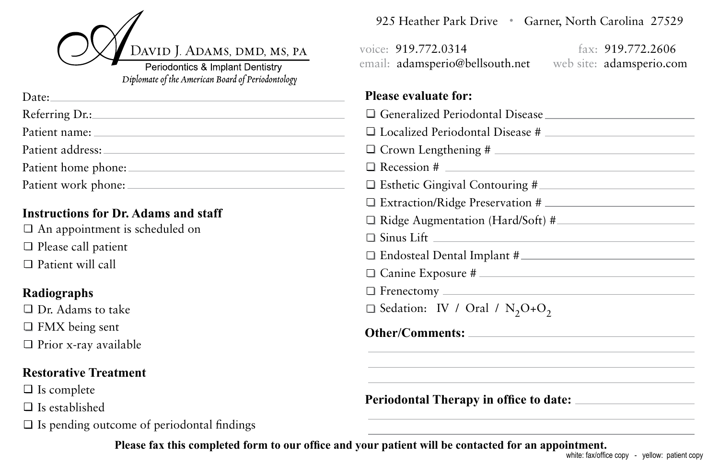

Diplomate of the American Board of Periodontology

| Date: and the part of the part of the part of the part of the part of the Date of the Date of the D |
|-----------------------------------------------------------------------------------------------------|
| Referring Dr.:                                                                                      |
| Patient name:                                                                                       |
| Patient address:                                                                                    |
| Patient home phone:                                                                                 |
|                                                                                                     |
| Patient work phone:                                                                                 |

## **Instructions for Dr. Adams and staff**

An appointment is scheduled on  $\Box$  Please call patient □ Patient will call

## **Radiographs**

 $\Box$  Dr. Adams to take □ FMX being sent  $\Box$  Prior x-ray available

## **Restorative Treatment**

 $\Box$  Is complete

 $\Box$  Is established

 $\Box$  Is pending outcome of periodontal findings

925 Heather Park Drive • Garner, North Carolina 27529

voice: 919.772.0314 fax: 919.772.2606 email: adamsperio@bellsouth.net web site: adamsperio.com

## **Please evaluate for:**

| $\Box$ Generalized Periodontal Disease $\Box$                |
|--------------------------------------------------------------|
|                                                              |
|                                                              |
| $\Box$ Recession # $\Box$                                    |
|                                                              |
| $\Box$ Extraction/Ridge Preservation # $\Box$                |
| $\Box$ Ridge Augmentation (Hard/Soft) #                      |
| $\Box$ Sinus Lift $\Box$                                     |
| $\Box$ Endosteal Dental Implant #                            |
| $\Box$ Canine Exposure #                                     |
|                                                              |
| $\Box$ Sedation: IV / Oral / N <sub>2</sub> O+O <sub>2</sub> |
|                                                              |
|                                                              |
|                                                              |
|                                                              |

**Periodontal Therapy in office to date:**

**Please fax this completed form to our office and your patient will be contacted for an appointment.**